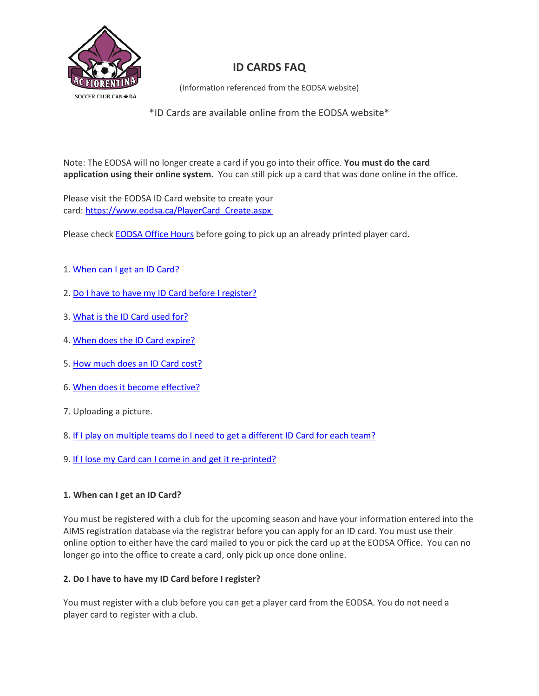

# **ID CARDS FAQ**

(Information referenced from the EODSA website)

\*ID Cards are available online from the EODSA website\*

Note: The EODSA will no longer create a card if you go into their office. **You must do the card application using their online system.** You can still pick up a card that was done online in the office.

Please visit the EODSA ID Card website to create your card: [https://www.eodsa.ca/PlayerCard\\_Create.aspx](https://www.eodsa.ca/PlayerCard_Create.aspx)

Please check [EODSA Office Hours](http://www.eodsa.ca/) before going to pick up an already printed player card.

- 1. [When can I get an ID Card?](https://www.eodsa.ca/DisplayPage.aspx?PageID=113#Q1)
- 2. [Do I have to have my ID Card before I register?](https://www.eodsa.ca/DisplayPage.aspx?PageID=113#Q2)
- 3. [What is the ID Card used for?](https://www.eodsa.ca/DisplayPage.aspx?PageID=113#Q3)
- 4. [When does the ID Card expire?](https://www.eodsa.ca/DisplayPage.aspx?PageID=113#Q4)
- 5. [How much does an ID Card cost?](https://www.eodsa.ca/DisplayPage.aspx?PageID=113#Q5)
- 6. [When does it become effective?](https://www.eodsa.ca/DisplayPage.aspx?PageID=113#Q7)
- 7. Uploading a picture.
- 8. [If I play on multiple teams do I need to get a different ID Card for each team?](https://www.eodsa.ca/DisplayPage.aspx?PageID=113#Q8)
- 9. [If I lose my Card can I come in and get it re-printed?](https://www.eodsa.ca/DisplayPage.aspx?PageID=113#Q9)

# **1. When can I get an ID Card?**

You must be registered with a club for the upcoming season and have your information entered into the AIMS registration database via the registrar before you can apply for an ID card. You must use their online option to either have the card mailed to you or pick the card up at the EODSA Office. You can no longer go into the office to create a card, only pick up once done online.

# **2. Do I have to have my ID Card before I register?**

You must register with a club before you can get a player card from the EODSA. You do not need a player card to register with a club.